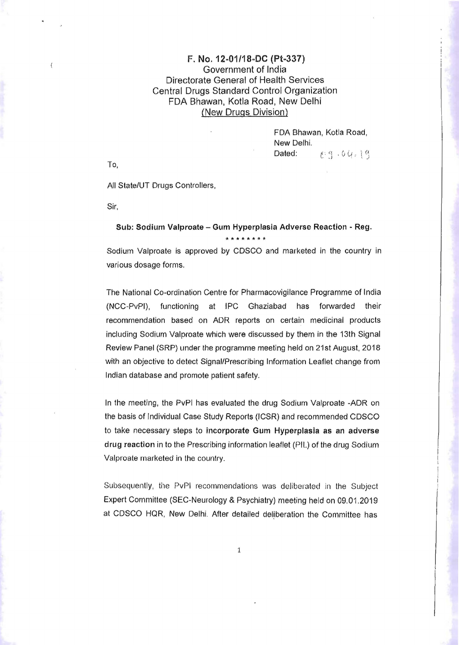## F. No. 12-01/18-DC (Pt-337) Government of India Directorate General of Health Services Central Drugs Standard Control Organization FDA Bhawan, Kotla Road, New Delhi (New Drugs Division)

FDA Shawan, Kotla Road, New Delhi. Dated:  $C \cdot q \cdot 6Q \cdot 1q$ 

To,

All State/UT Drugs Controllers,

Sir,

## Sub: Sodium Valproate - Gum Hyperplasia Adverse Reaction - Reg. **\*tf\*\*\*\*\*\***

Sodium Valproate is approved by CDSCO and marketed in the country in various dosage forms.

The National Co-ordination Centre for Pharmacovigilance Programme of India (NCC-PvPI), functioning at IPC Ghaziabad has forwarded their recommendation based on ADR reports on certain medicinal products including Sodium Valproate which were discussed by them in the 13th Signal Review Panel (SRP) under the programme meeting held on 21st August, 2018 with an objective to detect Signal/Prescribing Information Leaflet change from Indian database and promote patient safety.

In the meeting, the PvPI has evaluated the drug Sodium Valproate -ADR on the basis of Individual Case Study Reports (ICSR) and recommended CDSCO to take necessary steps to incorporate Gum Hyperplasia as an adverse drug reaction in to the Prescribing information leaflet (PIL) of the drug Sodium Valproate marketed in the country.

Subsequently, the PvPI recommendations was deliberated in the Subject Expert Committee (SEC-Neurology & Psychiatry) meeting held on 09.01.2019 at CDSCO HQR, New Delhi. After detailed deliberation the Committee has